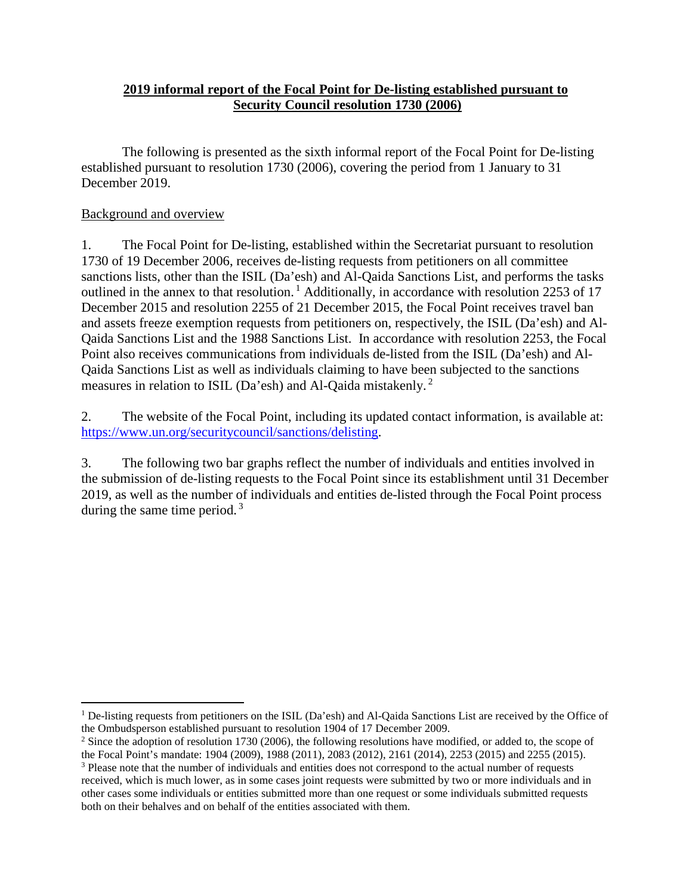## **2019 informal report of the Focal Point for De-listing established pursuant to Security Council resolution 1730 (2006)**

The following is presented as the sixth informal report of the Focal Point for De-listing established pursuant to resolution 1730 (2006), covering the period from 1 January to 31 December 2019.

## Background and overview

1. The Focal Point for De-listing, established within the Secretariat pursuant to resolution 1730 of 19 December 2006, receives de-listing requests from petitioners on all committee sanctions lists, other than the ISIL (Da'esh) and Al-Qaida Sanctions List, and performs the tasks outlined in the annex to that resolution.<sup>[1](#page-0-0)</sup> Additionally, in accordance with resolution 2253 of 17 December 2015 and resolution 2255 of 21 December 2015, the Focal Point receives travel ban and assets freeze exemption requests from petitioners on, respectively, the ISIL (Da'esh) and Al-Qaida Sanctions List and the 1988 Sanctions List. In accordance with resolution 2253, the Focal Point also receives communications from individuals de-listed from the ISIL (Da'esh) and Al-Qaida Sanctions List as well as individuals claiming to have been subjected to the sanctions measures in relation to ISIL (Da'esh) and Al-Qaida mistakenly. [2](#page-0-1)

2. The website of the Focal Point, including its updated contact information, is available at: [https://www.un.org/securitycouncil/sanctions/delisting.](https://www.un.org/securitycouncil/sanctions/delisting)

3. The following two bar graphs reflect the number of individuals and entities involved in the submission of de-listing requests to the Focal Point since its establishment until 31 December 2019, as well as the number of individuals and entities de-listed through the Focal Point process during the same time period.<sup>[3](#page-0-2)</sup>

<span id="page-0-0"></span> $<sup>1</sup>$  De-listing requests from petitioners on the ISIL (Da'esh) and Al-Qaida Sanctions List are received by the Office of</sup> the Ombudsperson established pursuant to resolution 1904 of 17 December 2009.

<span id="page-0-1"></span><sup>&</sup>lt;sup>2</sup> Since the adoption of resolution 1730 (2006), the following resolutions have modified, or added to, the scope of the Focal Point's mandate: 1904 (2009), 1988 (2011), 2083 (2012), 2161 (2014), 2253 (2015) and 2255 (2015).

<span id="page-0-2"></span><sup>3</sup> Please note that the number of individuals and entities does not correspond to the actual number of requests received, which is much lower, as in some cases joint requests were submitted by two or more individuals and in other cases some individuals or entities submitted more than one request or some individuals submitted requests both on their behalves and on behalf of the entities associated with them.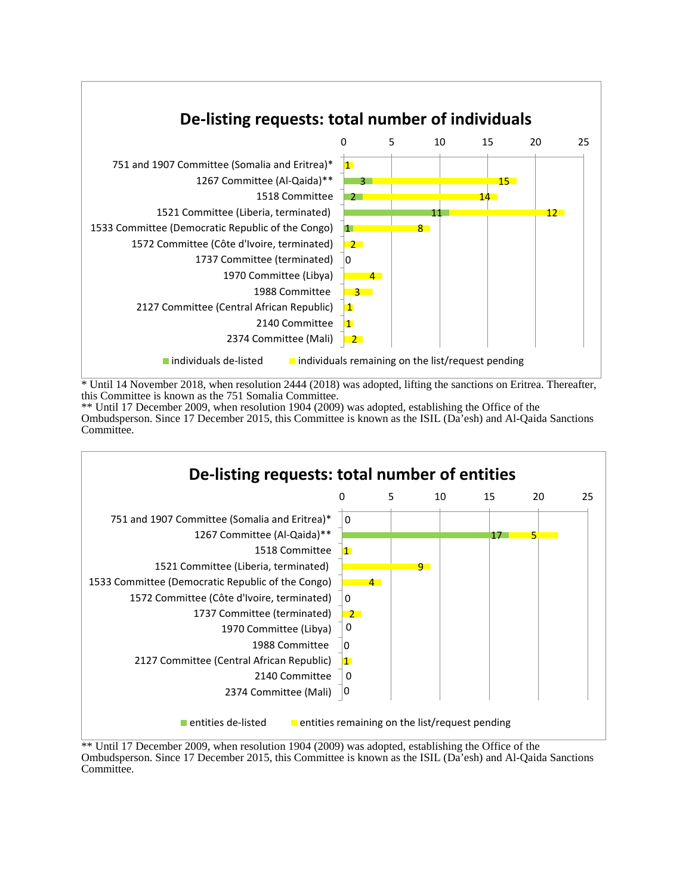

\* Until 14 November 2018, when resolution 2444 (2018) was adopted, lifting the sanctions on Eritrea. Thereafter, this Committee is known as the 751 Somalia Committee.

\*\* Until 17 December 2009, when resolution 1904 (2009) was adopted, establishing the Office of the Ombudsperson. Since 17 December 2015, this Committee is known as the ISIL (Da'esh) and Al-Qaida Sanctions Committee.



<sup>\*\*</sup> Until 17 December 2009, when resolution 1904 (2009) was adopted, establishing the Office of the Ombudsperson. Since 17 December 2015, this Committee is known as the ISIL (Da'esh) and Al-Qaida Sanctions Committee.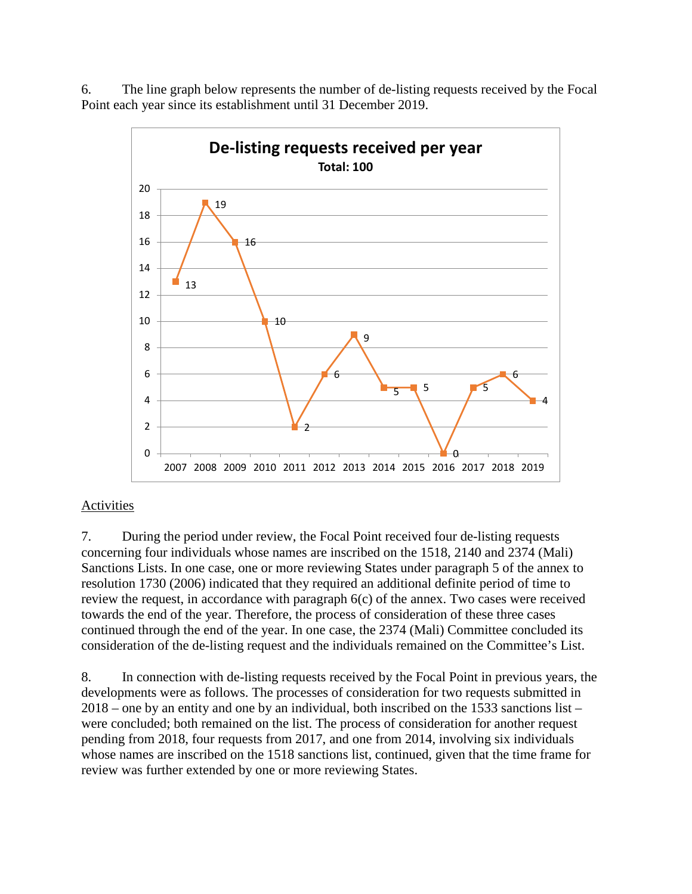6. The line graph below represents the number of de-listing requests received by the Focal Point each year since its establishment until 31 December 2019.



## Activities

7. During the period under review, the Focal Point received four de-listing requests concerning four individuals whose names are inscribed on the 1518, 2140 and 2374 (Mali) Sanctions Lists. In one case, one or more reviewing States under paragraph 5 of the annex to resolution 1730 (2006) indicated that they required an additional definite period of time to review the request, in accordance with paragraph 6(c) of the annex. Two cases were received towards the end of the year. Therefore, the process of consideration of these three cases continued through the end of the year. In one case, the 2374 (Mali) Committee concluded its consideration of the de-listing request and the individuals remained on the Committee's List.

8. In connection with de-listing requests received by the Focal Point in previous years, the developments were as follows. The processes of consideration for two requests submitted in 2018 – one by an entity and one by an individual, both inscribed on the 1533 sanctions list – were concluded; both remained on the list. The process of consideration for another request pending from 2018, four requests from 2017, and one from 2014, involving six individuals whose names are inscribed on the 1518 sanctions list, continued, given that the time frame for review was further extended by one or more reviewing States.